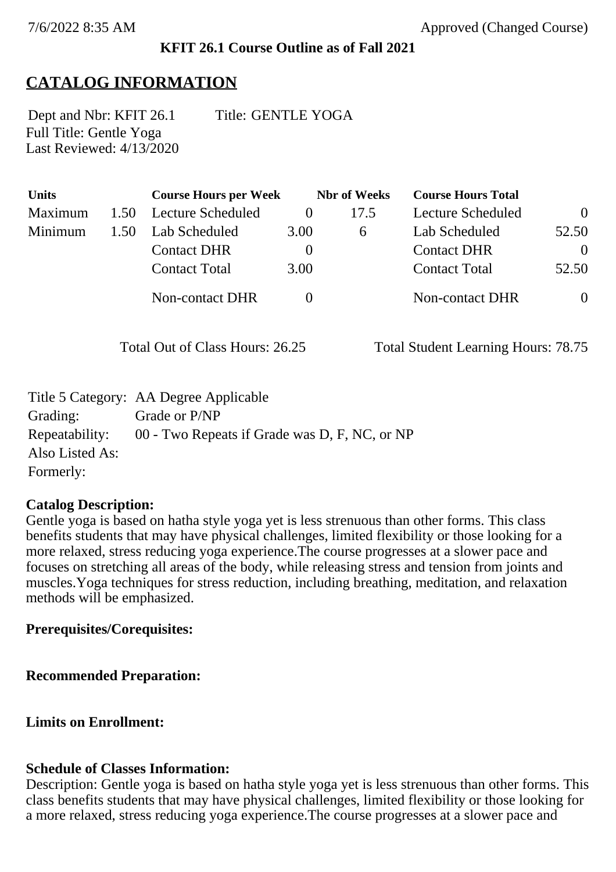# **KFIT 26.1 Course Outline as of Fall 2021**

# **CATALOG INFORMATION**

Full Title: Gentle Yoga Last Reviewed: 4/13/2020 Dept and Nbr: KFIT 26.1 Title: GENTLE YOGA

| <b>Units</b> |      | <b>Course Hours per Week</b> |      | <b>Nbr</b> of Weeks | <b>Course Hours Total</b> |                |
|--------------|------|------------------------------|------|---------------------|---------------------------|----------------|
| Maximum      | 1.50 | Lecture Scheduled            |      | 17.5                | Lecture Scheduled         | $\overline{0}$ |
| Minimum      | 1.50 | Lab Scheduled                | 3.00 | $\sigma$            | Lab Scheduled             | 52.50          |
|              |      | <b>Contact DHR</b>           |      |                     | <b>Contact DHR</b>        | $\theta$       |
|              |      | <b>Contact Total</b>         | 3.00 |                     | <b>Contact Total</b>      | 52.50          |
|              |      | Non-contact DHR              |      |                     | <b>Non-contact DHR</b>    | $\overline{0}$ |

Total Out of Class Hours: 26.25 Total Student Learning Hours: 78.75

|                 | Title 5 Category: AA Degree Applicable                       |
|-----------------|--------------------------------------------------------------|
| Grading:        | Grade or P/NP                                                |
|                 | Repeatability: 00 - Two Repeats if Grade was D, F, NC, or NP |
| Also Listed As: |                                                              |
| Formerly:       |                                                              |

#### **Catalog Description:**

Gentle yoga is based on hatha style yoga yet is less strenuous than other forms. This class benefits students that may have physical challenges, limited flexibility or those looking for a more relaxed, stress reducing yoga experience.The course progresses at a slower pace and focuses on stretching all areas of the body, while releasing stress and tension from joints and muscles.Yoga techniques for stress reduction, including breathing, meditation, and relaxation methods will be emphasized.

### **Prerequisites/Corequisites:**

**Recommended Preparation:**

**Limits on Enrollment:**

#### **Schedule of Classes Information:**

Description: Gentle yoga is based on hatha style yoga yet is less strenuous than other forms. This class benefits students that may have physical challenges, limited flexibility or those looking for a more relaxed, stress reducing yoga experience.The course progresses at a slower pace and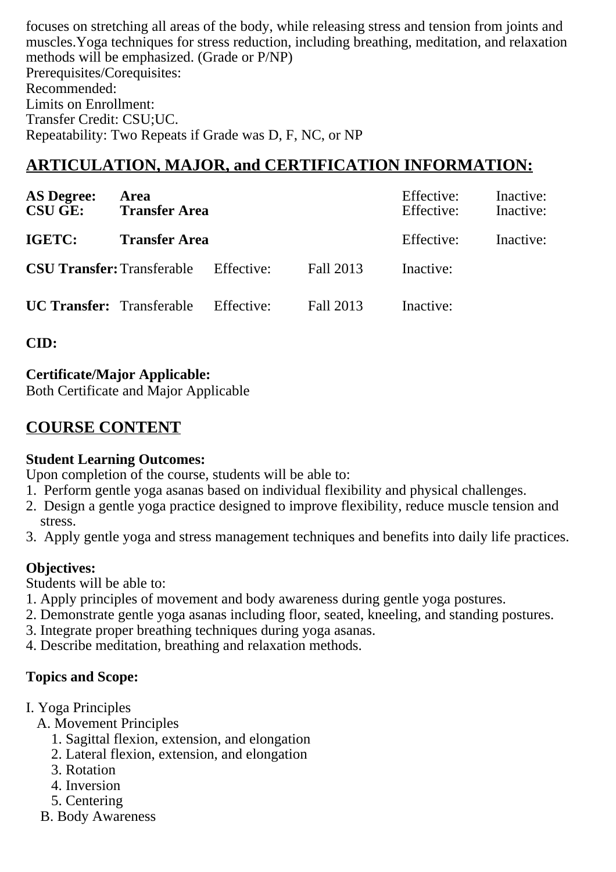focuses on stretching all areas of the body, while releasing stress and tension from joints and muscles.Yoga techniques for stress reduction, including breathing, meditation, and relaxation methods will be emphasized. (Grade or P/NP) Prerequisites/Corequisites: Recommended: Limits on Enrollment: Transfer Credit: CSU;UC. Repeatability: Two Repeats if Grade was D, F, NC, or NP

# **ARTICULATION, MAJOR, and CERTIFICATION INFORMATION:**

| <b>AS Degree:</b><br><b>CSU GE:</b> Transfer Area | Area                 |  | Effective:<br>Effective: | Inactive:<br>Inactive: |           |
|---------------------------------------------------|----------------------|--|--------------------------|------------------------|-----------|
| IGETC:                                            | <b>Transfer Area</b> |  |                          | Effective:             | Inactive: |
| <b>CSU Transfer:</b> Transferable Effective:      |                      |  | Fall 2013                | Inactive:              |           |
| <b>UC Transfer:</b> Transferable Effective:       |                      |  | Fall 2013                | Inactive:              |           |

**CID:**

### **Certificate/Major Applicable:**

[Both Certificate and Major Applicable](SR_ClassCheck.aspx?CourseKey=KFIT26.1)

# **COURSE CONTENT**

#### **Student Learning Outcomes:**

Upon completion of the course, students will be able to:

- 1. Perform gentle yoga asanas based on individual flexibility and physical challenges.
- 2. Design a gentle yoga practice designed to improve flexibility, reduce muscle tension and stress.
- 3. Apply gentle yoga and stress management techniques and benefits into daily life practices.

### **Objectives:**

Students will be able to:

- 1. Apply principles of movement and body awareness during gentle yoga postures.
- 2. Demonstrate gentle yoga asanas including floor, seated, kneeling, and standing postures.
- 3. Integrate proper breathing techniques during yoga asanas.
- 4. Describe meditation, breathing and relaxation methods.

# **Topics and Scope:**

- I. Yoga Principles
	- A. Movement Principles
		- 1. Sagittal flexion, extension, and elongation
		- 2. Lateral flexion, extension, and elongation
		- 3. Rotation
		- 4. Inversion
		- 5. Centering
	- B. Body Awareness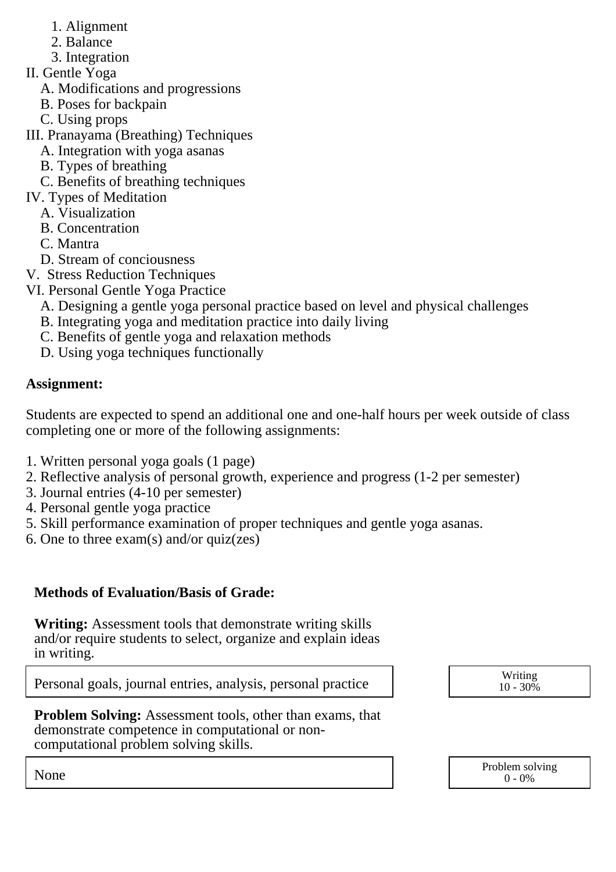- 1. Alignment
- 2. Balance
- 3. Integration
- II. Gentle Yoga
	- A. Modifications and progressions
	- B. Poses for backpain
	- C. Using props
- III. Pranayama (Breathing) Techniques
	- A. Integration with yoga asanas
	- B. Types of breathing
- C. Benefits of breathing techniques
- IV. Types of Meditation
	- A. Visualization
	- B. Concentration
	- C. Mantra
	- D. Stream of conciousness
- V. Stress Reduction Techniques
- VI. Personal Gentle Yoga Practice
	- A. Designing a gentle yoga personal practice based on level and physical challenges
	- B. Integrating yoga and meditation practice into daily living
	- C. Benefits of gentle yoga and relaxation methods
	- D. Using yoga techniques functionally

# **Assignment:**

Students are expected to spend an additional one and one-half hours per week outside of class completing one or more of the following assignments:

- 1. Written personal yoga goals (1 page)
- 2. Reflective analysis of personal growth, experience and progress (1-2 per semester)
- 3. Journal entries (4-10 per semester)
- 4. Personal gentle yoga practice
- 5. Skill performance examination of proper techniques and gentle yoga asanas.
- 6. One to three exam(s) and/or quiz(zes)

# **Methods of Evaluation/Basis of Grade:**

**Writing:** Assessment tools that demonstrate writing skills and/or require students to select, organize and explain ideas in writing.

Personal goals, journal entries, analysis, personal practice Writing

 $10 - 30\%$ 

**Problem Solving:** Assessment tools, other than exams, that demonstrate competence in computational or noncomputational problem solving skills.

None Problem solving and the Problem solving problem solving and the Problem solving problem solving  $0 - 0\%$  $0 - 0\%$